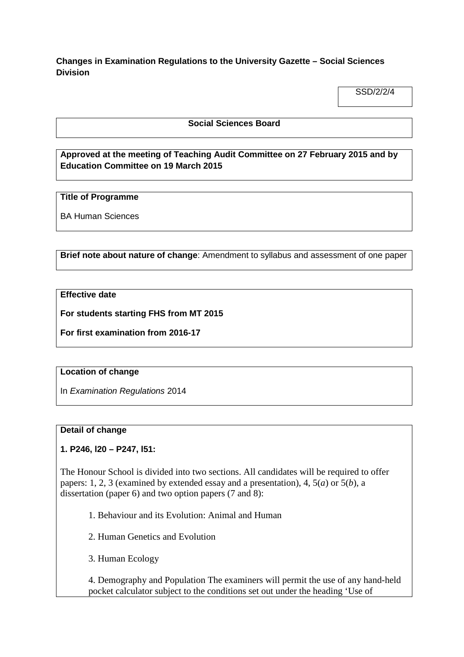**Changes in Examination Regulations to the University Gazette – Social Sciences Division**

SSD/2/2/4

#### **Social Sciences Board**

### **Approved at the meeting of Teaching Audit Committee on 27 February 2015 and by Education Committee on 19 March 2015**

#### **Title of Programme**

BA Human Sciences

**Brief note about nature of change**: Amendment to syllabus and assessment of one paper

#### **Effective date**

**For students starting FHS from MT 2015**

**For first examination from 2016-17**

#### **Location of change**

In *Examination Regulations* 2014

#### **Detail of change**

#### **1. P246, l20 – P247, l51:**

The Honour School is divided into two sections. All candidates will be required to offer papers: 1, 2, 3 (examined by extended essay and a presentation), 4, 5(*a*) or 5(*b*), a dissertation (paper 6) and two option papers (7 and 8):

1. Behaviour and its Evolution: Animal and Human

2. Human Genetics and Evolution

3. Human Ecology

4. Demography and Population The examiners will permit the use of any hand-held pocket calculator subject to the conditions set out under the heading 'Use of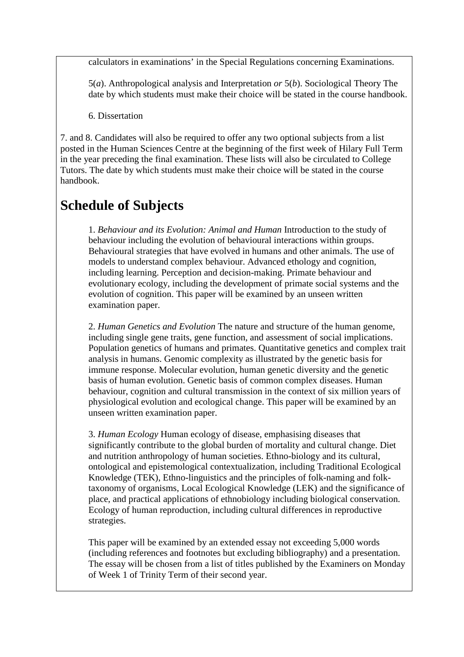calculators in examinations' in the Special Regulations concerning Examinations.

5(*a*). Anthropological analysis and Interpretation *or* 5(*b*). Sociological Theory The date by which students must make their choice will be stated in the course handbook.

6. Dissertation

7. and 8. Candidates will also be required to offer any two optional subjects from a list posted in the Human Sciences Centre at the beginning of the first week of Hilary Full Term in the year preceding the final examination. These lists will also be circulated to College Tutors. The date by which students must make their choice will be stated in the course handbook.

# **Schedule of Subjects**

1. *Behaviour and its Evolution: Animal and Human* Introduction to the study of behaviour including the evolution of behavioural interactions within groups. Behavioural strategies that have evolved in humans and other animals. The use of models to understand complex behaviour. Advanced ethology and cognition, including learning. Perception and decision-making. Primate behaviour and evolutionary ecology, including the development of primate social systems and the evolution of cognition. This paper will be examined by an unseen written examination paper.

2. *Human Genetics and Evolution* The nature and structure of the human genome, including single gene traits, gene function, and assessment of social implications. Population genetics of humans and primates. Quantitative genetics and complex trait analysis in humans. Genomic complexity as illustrated by the genetic basis for immune response. Molecular evolution, human genetic diversity and the genetic basis of human evolution. Genetic basis of common complex diseases. Human behaviour, cognition and cultural transmission in the context of six million years of physiological evolution and ecological change. This paper will be examined by an unseen written examination paper.

3. *Human Ecology* Human ecology of disease, emphasising diseases that significantly contribute to the global burden of mortality and cultural change. Diet and nutrition anthropology of human societies. Ethno-biology and its cultural, ontological and epistemological contextualization, including Traditional Ecological Knowledge (TEK), Ethno-linguistics and the principles of folk-naming and folktaxonomy of organisms, Local Ecological Knowledge (LEK) and the significance of place, and practical applications of ethnobiology including biological conservation. Ecology of human reproduction, including cultural differences in reproductive strategies.

This paper will be examined by an extended essay not exceeding 5,000 words (including references and footnotes but excluding bibliography) and a presentation. The essay will be chosen from a list of titles published by the Examiners on Monday of Week 1 of Trinity Term of their second year.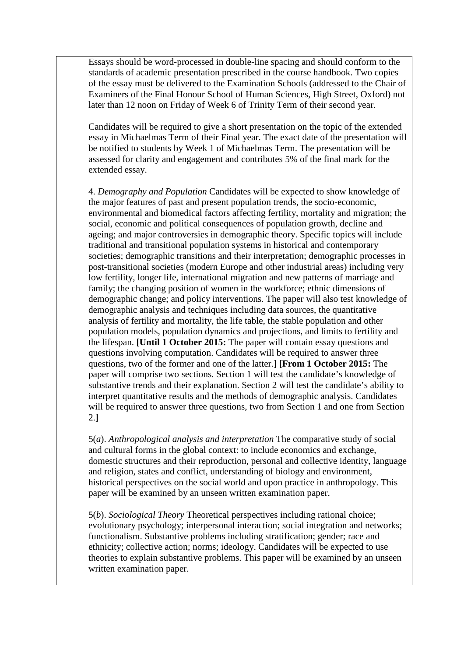Essays should be word-processed in double-line spacing and should conform to the standards of academic presentation prescribed in the course handbook. Two copies of the essay must be delivered to the Examination Schools (addressed to the Chair of Examiners of the Final Honour School of Human Sciences, High Street, Oxford) not later than 12 noon on Friday of Week 6 of Trinity Term of their second year.

Candidates will be required to give a short presentation on the topic of the extended essay in Michaelmas Term of their Final year. The exact date of the presentation will be notified to students by Week 1 of Michaelmas Term. The presentation will be assessed for clarity and engagement and contributes 5% of the final mark for the extended essay.

4. *Demography and Population* Candidates will be expected to show knowledge of the major features of past and present population trends, the socio-economic, environmental and biomedical factors affecting fertility, mortality and migration; the social, economic and political consequences of population growth, decline and ageing; and major controversies in demographic theory. Specific topics will include traditional and transitional population systems in historical and contemporary societies; demographic transitions and their interpretation; demographic processes in post-transitional societies (modern Europe and other industrial areas) including very low fertility, longer life, international migration and new patterns of marriage and family; the changing position of women in the workforce; ethnic dimensions of demographic change; and policy interventions. The paper will also test knowledge of demographic analysis and techniques including data sources, the quantitative analysis of fertility and mortality, the life table, the stable population and other population models, population dynamics and projections, and limits to fertility and the lifespan. **[Until 1 October 2015:** The paper will contain essay questions and questions involving computation. Candidates will be required to answer three questions, two of the former and one of the latter.**] [From 1 October 2015:** The paper will comprise two sections. Section 1 will test the candidate's knowledge of substantive trends and their explanation. Section 2 will test the candidate's ability to interpret quantitative results and the methods of demographic analysis. Candidates will be required to answer three questions, two from Section 1 and one from Section 2.**]**

5(*a*). *Anthropological analysis and interpretation* The comparative study of social and cultural forms in the global context: to include economics and exchange, domestic structures and their reproduction, personal and collective identity, language and religion, states and conflict, understanding of biology and environment, historical perspectives on the social world and upon practice in anthropology. This paper will be examined by an unseen written examination paper.

5(*b*). *Sociological Theory* Theoretical perspectives including rational choice; evolutionary psychology; interpersonal interaction; social integration and networks; functionalism. Substantive problems including stratification; gender; race and ethnicity; collective action; norms; ideology. Candidates will be expected to use theories to explain substantive problems. This paper will be examined by an unseen written examination paper.